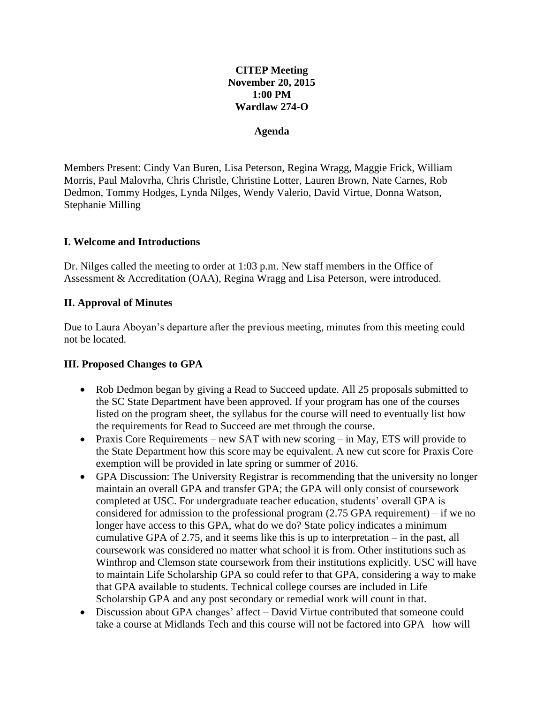## **CITEP Meeting November 20, 2015 1:00 PM Wardlaw 274-O**

#### **Agenda**

Members Present: Cindy Van Buren, Lisa Peterson, Regina Wragg, Maggie Frick, William Morris, Paul Malovrha, Chris Christle, Christine Lotter, Lauren Brown, Nate Carnes, Rob Dedmon, Tommy Hodges, Lynda Nilges, Wendy Valerio, David Virtue, Donna Watson, Stephanie Milling

## **I. Welcome and Introductions**

Dr. Nilges called the meeting to order at 1:03 p.m. New staff members in the Office of Assessment & Accreditation (OAA), Regina Wragg and Lisa Peterson, were introduced.

## **II. Approval of Minutes**

Due to Laura Aboyan's departure after the previous meeting, minutes from this meeting could not be located.

#### **III. Proposed Changes to GPA**

- Rob Dedmon began by giving a Read to Succeed update. All 25 proposals submitted to the SC State Department have been approved. If your program has one of the courses listed on the program sheet, the syllabus for the course will need to eventually list how the requirements for Read to Succeed are met through the course.
- Praxis Core Requirements new SAT with new scoring in May, ETS will provide to the State Department how this score may be equivalent. A new cut score for Praxis Core exemption will be provided in late spring or summer of 2016.
- GPA Discussion: The University Registrar is recommending that the university no longer maintain an overall GPA and transfer GPA; the GPA will only consist of coursework completed at USC. For undergraduate teacher education, students' overall GPA is considered for admission to the professional program  $(2.75 \text{ GPA requirement}) - \text{if we no}$ longer have access to this GPA, what do we do? State policy indicates a minimum cumulative GPA of 2.75, and it seems like this is up to interpretation – in the past, all coursework was considered no matter what school it is from. Other institutions such as Winthrop and Clemson state coursework from their institutions explicitly. USC will have to maintain Life Scholarship GPA so could refer to that GPA, considering a way to make that GPA available to students. Technical college courses are included in Life Scholarship GPA and any post secondary or remedial work will count in that.
- Discussion about GPA changes' affect David Virtue contributed that someone could take a course at Midlands Tech and this course will not be factored into GPA– how will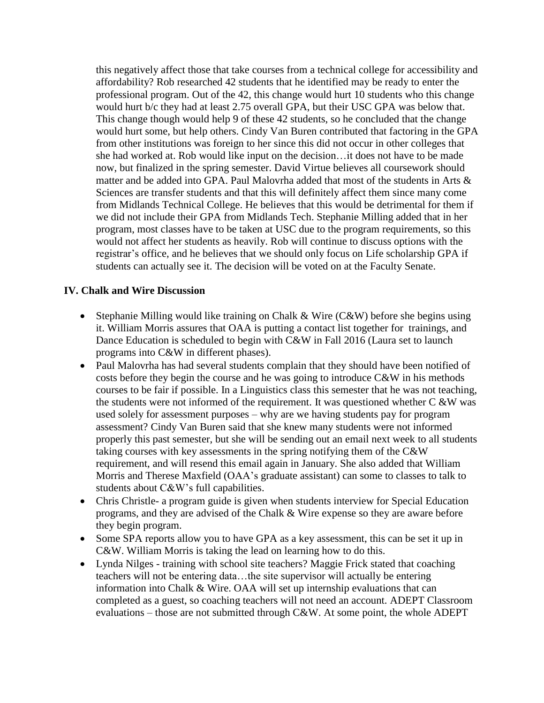this negatively affect those that take courses from a technical college for accessibility and affordability? Rob researched 42 students that he identified may be ready to enter the professional program. Out of the 42, this change would hurt 10 students who this change would hurt b/c they had at least 2.75 overall GPA, but their USC GPA was below that. This change though would help 9 of these 42 students, so he concluded that the change would hurt some, but help others. Cindy Van Buren contributed that factoring in the GPA from other institutions was foreign to her since this did not occur in other colleges that she had worked at. Rob would like input on the decision…it does not have to be made now, but finalized in the spring semester. David Virtue believes all coursework should matter and be added into GPA. Paul Malovrha added that most of the students in Arts & Sciences are transfer students and that this will definitely affect them since many come from Midlands Technical College. He believes that this would be detrimental for them if we did not include their GPA from Midlands Tech. Stephanie Milling added that in her program, most classes have to be taken at USC due to the program requirements, so this would not affect her students as heavily. Rob will continue to discuss options with the registrar's office, and he believes that we should only focus on Life scholarship GPA if students can actually see it. The decision will be voted on at the Faculty Senate.

## **IV. Chalk and Wire Discussion**

- Stephanie Milling would like training on Chalk & Wire (C&W) before she begins using it. William Morris assures that OAA is putting a contact list together for trainings, and Dance Education is scheduled to begin with C&W in Fall 2016 (Laura set to launch programs into C&W in different phases).
- Paul Malovrha has had several students complain that they should have been notified of costs before they begin the course and he was going to introduce C&W in his methods courses to be fair if possible. In a Linguistics class this semester that he was not teaching, the students were not informed of the requirement. It was questioned whether C &W was used solely for assessment purposes – why are we having students pay for program assessment? Cindy Van Buren said that she knew many students were not informed properly this past semester, but she will be sending out an email next week to all students taking courses with key assessments in the spring notifying them of the C&W requirement, and will resend this email again in January. She also added that William Morris and Therese Maxfield (OAA's graduate assistant) can some to classes to talk to students about C&W's full capabilities.
- Chris Christle- a program guide is given when students interview for Special Education programs, and they are advised of the Chalk & Wire expense so they are aware before they begin program.
- Some SPA reports allow you to have GPA as a key assessment, this can be set it up in C&W. William Morris is taking the lead on learning how to do this.
- Lynda Nilges training with school site teachers? Maggie Frick stated that coaching teachers will not be entering data…the site supervisor will actually be entering information into Chalk & Wire. OAA will set up internship evaluations that can completed as a guest, so coaching teachers will not need an account. ADEPT Classroom evaluations – those are not submitted through C&W. At some point, the whole ADEPT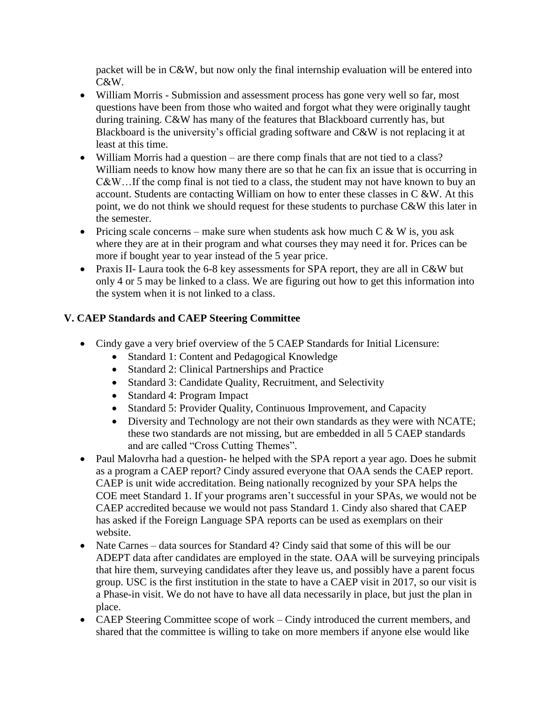packet will be in C&W, but now only the final internship evaluation will be entered into C&W.

- William Morris Submission and assessment process has gone very well so far, most questions have been from those who waited and forgot what they were originally taught during training. C&W has many of the features that Blackboard currently has, but Blackboard is the university's official grading software and C&W is not replacing it at least at this time.
- William Morris had a question are there comp finals that are not tied to a class? William needs to know how many there are so that he can fix an issue that is occurring in C&W…If the comp final is not tied to a class, the student may not have known to buy an account. Students are contacting William on how to enter these classes in  $C \&W$ . At this point, we do not think we should request for these students to purchase C&W this later in the semester.
- Pricing scale concerns make sure when students ask how much  $C & W$  is, you ask where they are at in their program and what courses they may need it for. Prices can be more if bought year to year instead of the 5 year price.
- Praxis II- Laura took the 6-8 key assessments for SPA report, they are all in C&W but only 4 or 5 may be linked to a class. We are figuring out how to get this information into the system when it is not linked to a class.

# **V. CAEP Standards and CAEP Steering Committee**

- Cindy gave a very brief overview of the 5 CAEP Standards for Initial Licensure:
	- Standard 1: Content and Pedagogical Knowledge
	- Standard 2: Clinical Partnerships and Practice
	- Standard 3: Candidate Quality, Recruitment, and Selectivity
	- Standard 4: Program Impact
	- Standard 5: Provider Quality, Continuous Improvement, and Capacity
	- Diversity and Technology are not their own standards as they were with NCATE; these two standards are not missing, but are embedded in all 5 CAEP standards and are called "Cross Cutting Themes".
- Paul Malovrha had a question- he helped with the SPA report a year ago. Does he submit as a program a CAEP report? Cindy assured everyone that OAA sends the CAEP report. CAEP is unit wide accreditation. Being nationally recognized by your SPA helps the COE meet Standard 1. If your programs aren't successful in your SPAs, we would not be CAEP accredited because we would not pass Standard 1. Cindy also shared that CAEP has asked if the Foreign Language SPA reports can be used as exemplars on their website.
- Nate Carnes data sources for Standard 4? Cindy said that some of this will be our ADEPT data after candidates are employed in the state. OAA will be surveying principals that hire them, surveying candidates after they leave us, and possibly have a parent focus group. USC is the first institution in the state to have a CAEP visit in 2017, so our visit is a Phase-in visit. We do not have to have all data necessarily in place, but just the plan in place.
- CAEP Steering Committee scope of work Cindy introduced the current members, and shared that the committee is willing to take on more members if anyone else would like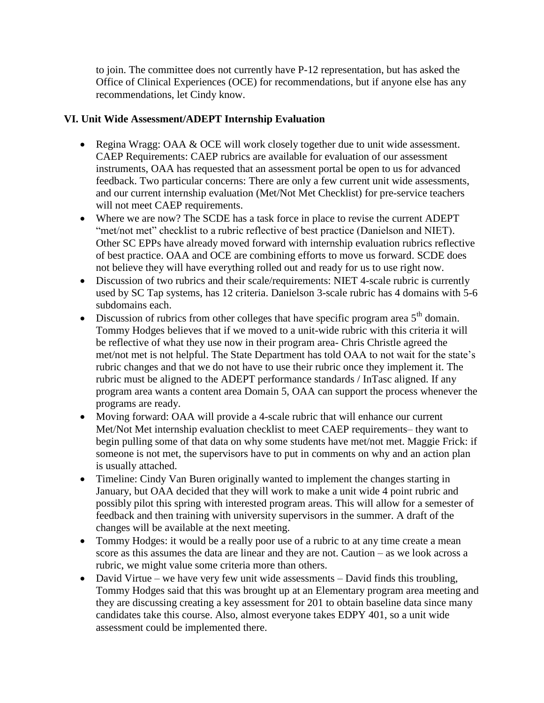to join. The committee does not currently have P-12 representation, but has asked the Office of Clinical Experiences (OCE) for recommendations, but if anyone else has any recommendations, let Cindy know.

## **VI. Unit Wide Assessment/ADEPT Internship Evaluation**

- Regina Wragg: OAA & OCE will work closely together due to unit wide assessment. CAEP Requirements: CAEP rubrics are available for evaluation of our assessment instruments, OAA has requested that an assessment portal be open to us for advanced feedback. Two particular concerns: There are only a few current unit wide assessments, and our current internship evaluation (Met/Not Met Checklist) for pre-service teachers will not meet CAEP requirements.
- Where we are now? The SCDE has a task force in place to revise the current ADEPT "met/not met" checklist to a rubric reflective of best practice (Danielson and NIET). Other SC EPPs have already moved forward with internship evaluation rubrics reflective of best practice. OAA and OCE are combining efforts to move us forward. SCDE does not believe they will have everything rolled out and ready for us to use right now.
- Discussion of two rubrics and their scale/requirements: NIET 4-scale rubric is currently used by SC Tap systems, has 12 criteria. Danielson 3-scale rubric has 4 domains with 5-6 subdomains each.
- $\bullet$  Discussion of rubrics from other colleges that have specific program area  $5<sup>th</sup>$  domain. Tommy Hodges believes that if we moved to a unit-wide rubric with this criteria it will be reflective of what they use now in their program area- Chris Christle agreed the met/not met is not helpful. The State Department has told OAA to not wait for the state's rubric changes and that we do not have to use their rubric once they implement it. The rubric must be aligned to the ADEPT performance standards / InTasc aligned. If any program area wants a content area Domain 5, OAA can support the process whenever the programs are ready.
- Moving forward: OAA will provide a 4-scale rubric that will enhance our current Met/Not Met internship evaluation checklist to meet CAEP requirements– they want to begin pulling some of that data on why some students have met/not met. Maggie Frick: if someone is not met, the supervisors have to put in comments on why and an action plan is usually attached.
- Timeline: Cindy Van Buren originally wanted to implement the changes starting in January, but OAA decided that they will work to make a unit wide 4 point rubric and possibly pilot this spring with interested program areas. This will allow for a semester of feedback and then training with university supervisors in the summer. A draft of the changes will be available at the next meeting.
- Tommy Hodges: it would be a really poor use of a rubric to at any time create a mean score as this assumes the data are linear and they are not. Caution – as we look across a rubric, we might value some criteria more than others.
- David Virtue we have very few unit wide assessments David finds this troubling, Tommy Hodges said that this was brought up at an Elementary program area meeting and they are discussing creating a key assessment for 201 to obtain baseline data since many candidates take this course. Also, almost everyone takes EDPY 401, so a unit wide assessment could be implemented there.